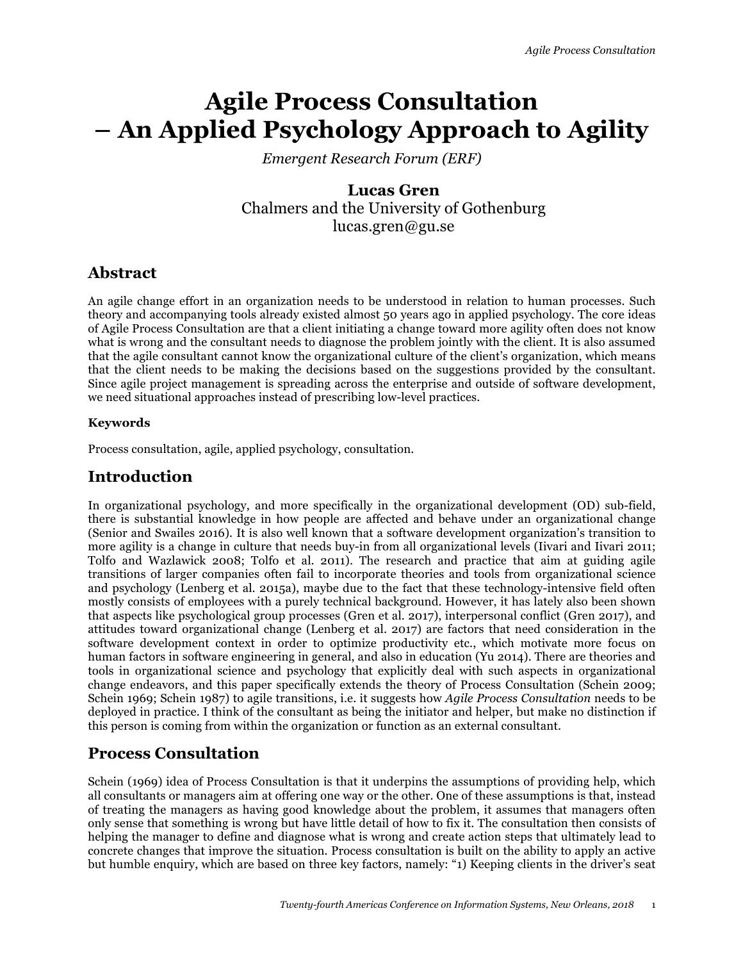# **Agile Process Consultation – An Applied Psychology Approach to Agility**

*Emergent Research Forum (ERF)*

## **Lucas Gren** Chalmers and the University of Gothenburg lucas.gren@gu.se

# **Abstract**

An agile change effort in an organization needs to be understood in relation to human processes. Such theory and accompanying tools already existed almost 50 years ago in applied psychology. The core ideas of Agile Process Consultation are that a client initiating a change toward more agility often does not know what is wrong and the consultant needs to diagnose the problem jointly with the client. It is also assumed that the agile consultant cannot know the organizational culture of the client's organization, which means that the client needs to be making the decisions based on the suggestions provided by the consultant. Since agile project management is spreading across the enterprise and outside of software development, we need situational approaches instead of prescribing low-level practices.

#### **Keywords**

Process consultation, agile, applied psychology, consultation.

### **Introduction**

In organizational psychology, and more specifically in the organizational development (OD) sub-field, there is substantial knowledge in how people are affected and behave under an organizational change (Senior and Swailes 2016). It is also well known that a software development organization's transition to more agility is a change in culture that needs buy-in from all organizational levels (Iivari and Iivari 2011; Tolfo and Wazlawick 2008; Tolfo et al. 2011). The research and practice that aim at guiding agile transitions of larger companies often fail to incorporate theories and tools from organizational science and psychology (Lenberg et al. 2015a), maybe due to the fact that these technology-intensive field often mostly consists of employees with a purely technical background. However, it has lately also been shown that aspects like psychological group processes (Gren et al. 2017), interpersonal conflict (Gren 2017), and attitudes toward organizational change (Lenberg et al. 2017) are factors that need consideration in the software development context in order to optimize productivity etc., which motivate more focus on human factors in software engineering in general, and also in education (Yu 2014). There are theories and tools in organizational science and psychology that explicitly deal with such aspects in organizational change endeavors, and this paper specifically extends the theory of Process Consultation (Schein 2009; Schein 1969; Schein 1987) to agile transitions, i.e. it suggests how *Agile Process Consultation* needs to be deployed in practice. I think of the consultant as being the initiator and helper, but make no distinction if this person is coming from within the organization or function as an external consultant.

# **Process Consultation**

Schein (1969) idea of Process Consultation is that it underpins the assumptions of providing help, which all consultants or managers aim at offering one way or the other. One of these assumptions is that, instead of treating the managers as having good knowledge about the problem, it assumes that managers often only sense that something is wrong but have little detail of how to fix it. The consultation then consists of helping the manager to define and diagnose what is wrong and create action steps that ultimately lead to concrete changes that improve the situation. Process consultation is built on the ability to apply an active but humble enquiry, which are based on three key factors, namely: "1) Keeping clients in the driver's seat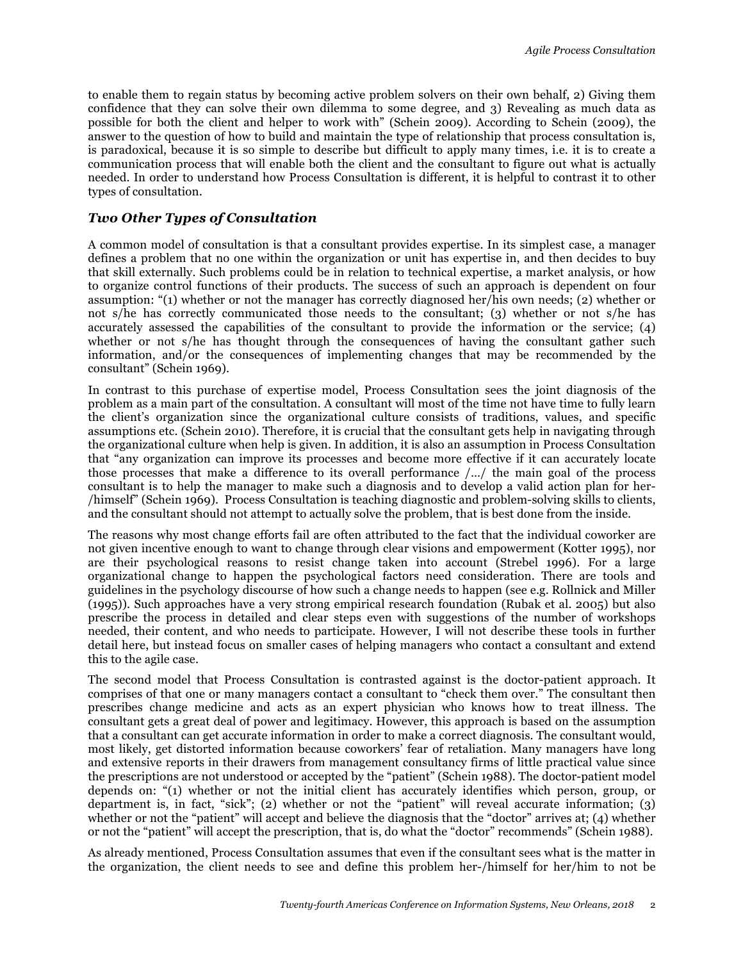to enable them to regain status by becoming active problem solvers on their own behalf, 2) Giving them confidence that they can solve their own dilemma to some degree, and 3) Revealing as much data as possible for both the client and helper to work with" (Schein 2009). According to Schein (2009), the answer to the question of how to build and maintain the type of relationship that process consultation is, is paradoxical, because it is so simple to describe but difficult to apply many times, i.e. it is to create a communication process that will enable both the client and the consultant to figure out what is actually needed. In order to understand how Process Consultation is different, it is helpful to contrast it to other types of consultation.

#### *Two Other Types of Consultation*

A common model of consultation is that a consultant provides expertise. In its simplest case, a manager defines a problem that no one within the organization or unit has expertise in, and then decides to buy that skill externally. Such problems could be in relation to technical expertise, a market analysis, or how to organize control functions of their products. The success of such an approach is dependent on four assumption: "(1) whether or not the manager has correctly diagnosed her/his own needs; (2) whether or not s/he has correctly communicated those needs to the consultant; (3) whether or not s/he has accurately assessed the capabilities of the consultant to provide the information or the service; (4) whether or not s/he has thought through the consequences of having the consultant gather such information, and/or the consequences of implementing changes that may be recommended by the consultant" (Schein 1969).

In contrast to this purchase of expertise model, Process Consultation sees the joint diagnosis of the problem as a main part of the consultation. A consultant will most of the time not have time to fully learn the client's organization since the organizational culture consists of traditions, values, and specific assumptions etc. (Schein 2010). Therefore, it is crucial that the consultant gets help in navigating through the organizational culture when help is given. In addition, it is also an assumption in Process Consultation that "any organization can improve its processes and become more effective if it can accurately locate those processes that make a difference to its overall performance /…/ the main goal of the process consultant is to help the manager to make such a diagnosis and to develop a valid action plan for her- /himself" (Schein 1969). Process Consultation is teaching diagnostic and problem-solving skills to clients, and the consultant should not attempt to actually solve the problem, that is best done from the inside.

The reasons why most change efforts fail are often attributed to the fact that the individual coworker are not given incentive enough to want to change through clear visions and empowerment (Kotter 1995), nor are their psychological reasons to resist change taken into account (Strebel 1996). For a large organizational change to happen the psychological factors need consideration. There are tools and guidelines in the psychology discourse of how such a change needs to happen (see e.g. Rollnick and Miller (1995)). Such approaches have a very strong empirical research foundation (Rubak et al. 2005) but also prescribe the process in detailed and clear steps even with suggestions of the number of workshops needed, their content, and who needs to participate. However, I will not describe these tools in further detail here, but instead focus on smaller cases of helping managers who contact a consultant and extend this to the agile case.

The second model that Process Consultation is contrasted against is the doctor-patient approach. It comprises of that one or many managers contact a consultant to "check them over." The consultant then prescribes change medicine and acts as an expert physician who knows how to treat illness. The consultant gets a great deal of power and legitimacy. However, this approach is based on the assumption that a consultant can get accurate information in order to make a correct diagnosis. The consultant would, most likely, get distorted information because coworkers' fear of retaliation. Many managers have long and extensive reports in their drawers from management consultancy firms of little practical value since the prescriptions are not understood or accepted by the "patient" (Schein 1988). The doctor-patient model depends on: "(1) whether or not the initial client has accurately identifies which person, group, or department is, in fact, "sick"; (2) whether or not the "patient" will reveal accurate information; (3) whether or not the "patient" will accept and believe the diagnosis that the "doctor" arrives at; (4) whether or not the "patient" will accept the prescription, that is, do what the "doctor" recommends" (Schein 1988).

As already mentioned, Process Consultation assumes that even if the consultant sees what is the matter in the organization, the client needs to see and define this problem her-/himself for her/him to not be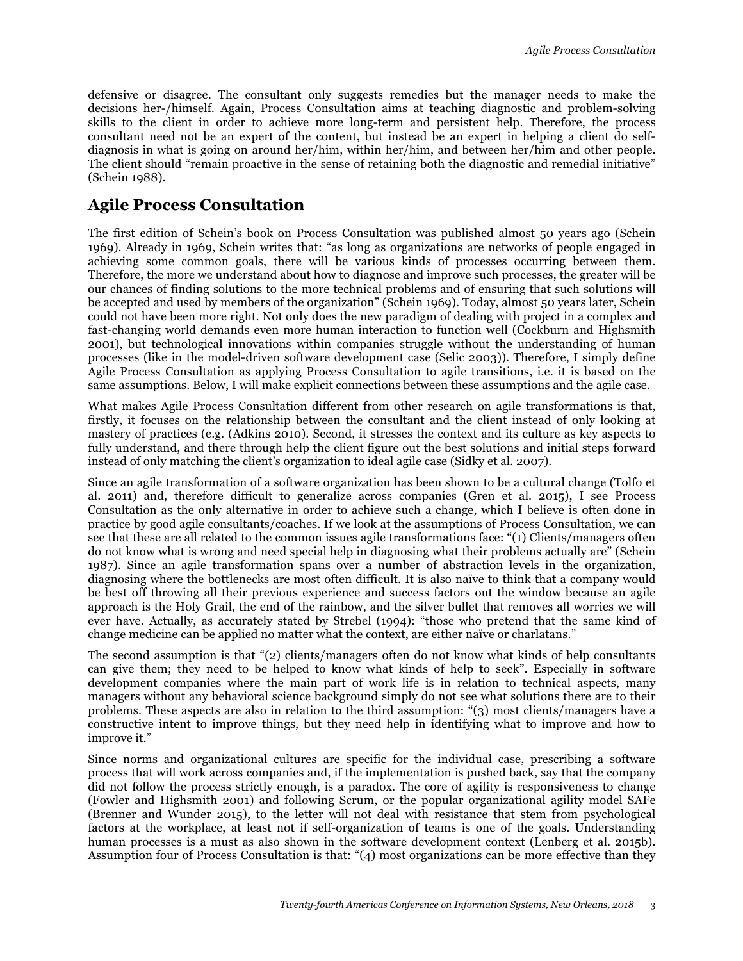defensive or disagree. The consultant only suggests remedies but the manager needs to make the decisions her-/himself. Again, Process Consultation aims at teaching diagnostic and problem-solving skills to the client in order to achieve more long-term and persistent help. Therefore, the process consultant need not be an expert of the content, but instead be an expert in helping a client do selfdiagnosis in what is going on around her/him, within her/him, and between her/him and other people. The client should "remain proactive in the sense of retaining both the diagnostic and remedial initiative" (Schein 1988).

## **Agile Process Consultation**

The first edition of Schein's book on Process Consultation was published almost 50 years ago (Schein 1969). Already in 1969, Schein writes that: "as long as organizations are networks of people engaged in achieving some common goals, there will be various kinds of processes occurring between them. Therefore, the more we understand about how to diagnose and improve such processes, the greater will be our chances of finding solutions to the more technical problems and of ensuring that such solutions will be accepted and used by members of the organization" (Schein 1969). Today, almost 50 years later, Schein could not have been more right. Not only does the new paradigm of dealing with project in a complex and fast-changing world demands even more human interaction to function well (Cockburn and Highsmith 2001), but technological innovations within companies struggle without the understanding of human processes (like in the model-driven software development case (Selic 2003)). Therefore, I simply define Agile Process Consultation as applying Process Consultation to agile transitions, i.e. it is based on the same assumptions. Below, I will make explicit connections between these assumptions and the agile case.

What makes Agile Process Consultation different from other research on agile transformations is that, firstly, it focuses on the relationship between the consultant and the client instead of only looking at mastery of practices (e.g. (Adkins 2010). Second, it stresses the context and its culture as key aspects to fully understand, and there through help the client figure out the best solutions and initial steps forward instead of only matching the client's organization to ideal agile case (Sidky et al. 2007).

Since an agile transformation of a software organization has been shown to be a cultural change (Tolfo et al. 2011) and, therefore difficult to generalize across companies (Gren et al. 2015), I see Process Consultation as the only alternative in order to achieve such a change, which I believe is often done in practice by good agile consultants/coaches. If we look at the assumptions of Process Consultation, we can see that these are all related to the common issues agile transformations face: "(1) Clients/managers often do not know what is wrong and need special help in diagnosing what their problems actually are" (Schein 1987). Since an agile transformation spans over a number of abstraction levels in the organization, diagnosing where the bottlenecks are most often difficult. It is also naïve to think that a company would be best off throwing all their previous experience and success factors out the window because an agile approach is the Holy Grail, the end of the rainbow, and the silver bullet that removes all worries we will ever have. Actually, as accurately stated by Strebel (1994): "those who pretend that the same kind of change medicine can be applied no matter what the context, are either naïve or charlatans."

The second assumption is that "(2) clients/managers often do not know what kinds of help consultants can give them; they need to be helped to know what kinds of help to seek". Especially in software development companies where the main part of work life is in relation to technical aspects, many managers without any behavioral science background simply do not see what solutions there are to their problems. These aspects are also in relation to the third assumption: "(3) most clients/managers have a constructive intent to improve things, but they need help in identifying what to improve and how to improve it."

Since norms and organizational cultures are specific for the individual case, prescribing a software process that will work across companies and, if the implementation is pushed back, say that the company did not follow the process strictly enough, is a paradox. The core of agility is responsiveness to change (Fowler and Highsmith 2001) and following Scrum, or the popular organizational agility model SAFe (Brenner and Wunder 2015), to the letter will not deal with resistance that stem from psychological factors at the workplace, at least not if self-organization of teams is one of the goals. Understanding human processes is a must as also shown in the software development context (Lenberg et al. 2015b). Assumption four of Process Consultation is that: "(4) most organizations can be more effective than they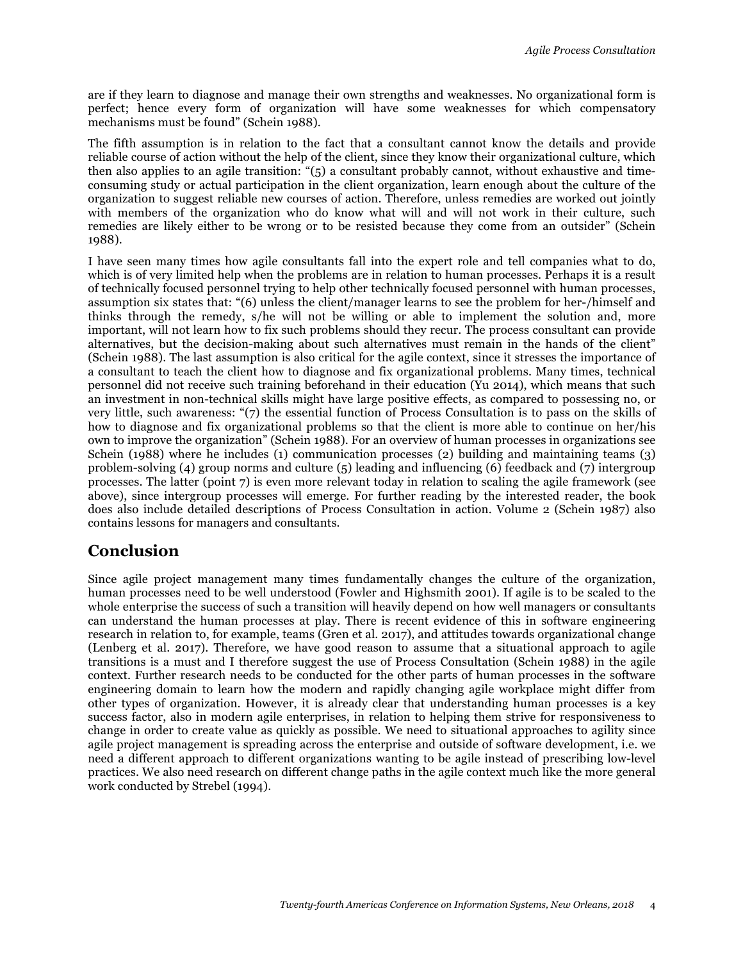are if they learn to diagnose and manage their own strengths and weaknesses. No organizational form is perfect; hence every form of organization will have some weaknesses for which compensatory mechanisms must be found" (Schein 1988).

The fifth assumption is in relation to the fact that a consultant cannot know the details and provide reliable course of action without the help of the client, since they know their organizational culture, which then also applies to an agile transition: "(5) a consultant probably cannot, without exhaustive and timeconsuming study or actual participation in the client organization, learn enough about the culture of the organization to suggest reliable new courses of action. Therefore, unless remedies are worked out jointly with members of the organization who do know what will and will not work in their culture, such remedies are likely either to be wrong or to be resisted because they come from an outsider" (Schein 1988).

I have seen many times how agile consultants fall into the expert role and tell companies what to do, which is of very limited help when the problems are in relation to human processes. Perhaps it is a result of technically focused personnel trying to help other technically focused personnel with human processes, assumption six states that: "(6) unless the client/manager learns to see the problem for her-/himself and thinks through the remedy, s/he will not be willing or able to implement the solution and, more important, will not learn how to fix such problems should they recur. The process consultant can provide alternatives, but the decision-making about such alternatives must remain in the hands of the client" (Schein 1988). The last assumption is also critical for the agile context, since it stresses the importance of a consultant to teach the client how to diagnose and fix organizational problems. Many times, technical personnel did not receive such training beforehand in their education (Yu 2014), which means that such an investment in non-technical skills might have large positive effects, as compared to possessing no, or very little, such awareness: "(7) the essential function of Process Consultation is to pass on the skills of how to diagnose and fix organizational problems so that the client is more able to continue on her/his own to improve the organization" (Schein 1988). For an overview of human processes in organizations see Schein (1988) where he includes (1) communication processes (2) building and maintaining teams (3) problem-solving (4) group norms and culture (5) leading and influencing (6) feedback and (7) intergroup processes. The latter (point 7) is even more relevant today in relation to scaling the agile framework (see above), since intergroup processes will emerge. For further reading by the interested reader, the book does also include detailed descriptions of Process Consultation in action. Volume 2 (Schein 1987) also contains lessons for managers and consultants.

## **Conclusion**

Since agile project management many times fundamentally changes the culture of the organization, human processes need to be well understood (Fowler and Highsmith 2001). If agile is to be scaled to the whole enterprise the success of such a transition will heavily depend on how well managers or consultants can understand the human processes at play. There is recent evidence of this in software engineering research in relation to, for example, teams (Gren et al. 2017), and attitudes towards organizational change (Lenberg et al. 2017). Therefore, we have good reason to assume that a situational approach to agile transitions is a must and I therefore suggest the use of Process Consultation (Schein 1988) in the agile context. Further research needs to be conducted for the other parts of human processes in the software engineering domain to learn how the modern and rapidly changing agile workplace might differ from other types of organization. However, it is already clear that understanding human processes is a key success factor, also in modern agile enterprises, in relation to helping them strive for responsiveness to change in order to create value as quickly as possible. We need to situational approaches to agility since agile project management is spreading across the enterprise and outside of software development, i.e. we need a different approach to different organizations wanting to be agile instead of prescribing low-level practices. We also need research on different change paths in the agile context much like the more general work conducted by Strebel (1994).